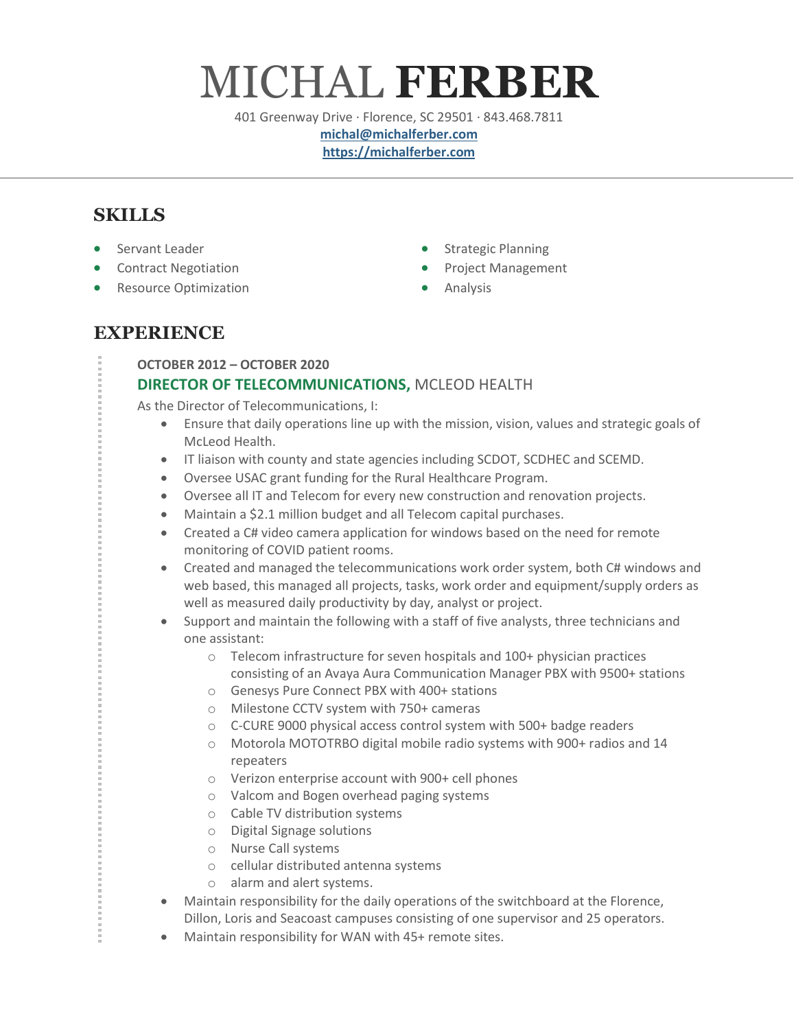# MICHAL **FERBER**

401 Greenway Drive · Florence, SC 29501 · 843.468.7811

**[michal@michalferber.com](mailto:michal@michalferber.com) [https://michalferber.com](https://michalferber.com/)**

# **SKILLS**

- Servant Leader
- Contract Negotiation
- Resource Optimization
- Strategic Planning
- Project Management
- Analysis

# **EXPERIENCE**

#### **OCTOBER 2012 – OCTOBER 2020**

## **DIRECTOR OF TELECOMMUNICATIONS,** MCLEOD HEALTH

As the Director of Telecommunications, I:

- Ensure that daily operations line up with the mission, vision, values and strategic goals of McLeod Health.
- IT liaison with county and state agencies including SCDOT, SCDHEC and SCEMD.
- Oversee USAC grant funding for the Rural Healthcare Program.
- Oversee all IT and Telecom for every new construction and renovation projects.
- Maintain a \$2.1 million budget and all Telecom capital purchases.
- Created a C# video camera application for windows based on the need for remote monitoring of COVID patient rooms.
- Created and managed the telecommunications work order system, both C# windows and web based, this managed all projects, tasks, work order and equipment/supply orders as well as measured daily productivity by day, analyst or project.
- Support and maintain the following with a staff of five analysts, three technicians and one assistant:
	- o Telecom infrastructure for seven hospitals and 100+ physician practices consisting of an Avaya Aura Communication Manager PBX with 9500+ stations
	- o Genesys Pure Connect PBX with 400+ stations
	- o Milestone CCTV system with 750+ cameras
	- o C-CURE 9000 physical access control system with 500+ badge readers
	- o Motorola MOTOTRBO digital mobile radio systems with 900+ radios and 14 repeaters
	- o Verizon enterprise account with 900+ cell phones
	- o Valcom and Bogen overhead paging systems
	- o Cable TV distribution systems
	- o Digital Signage solutions
	- o Nurse Call systems
	- o cellular distributed antenna systems
	- o alarm and alert systems.
- Maintain responsibility for the daily operations of the switchboard at the Florence, Dillon, Loris and Seacoast campuses consisting of one supervisor and 25 operators.
- Maintain responsibility for WAN with 45+ remote sites.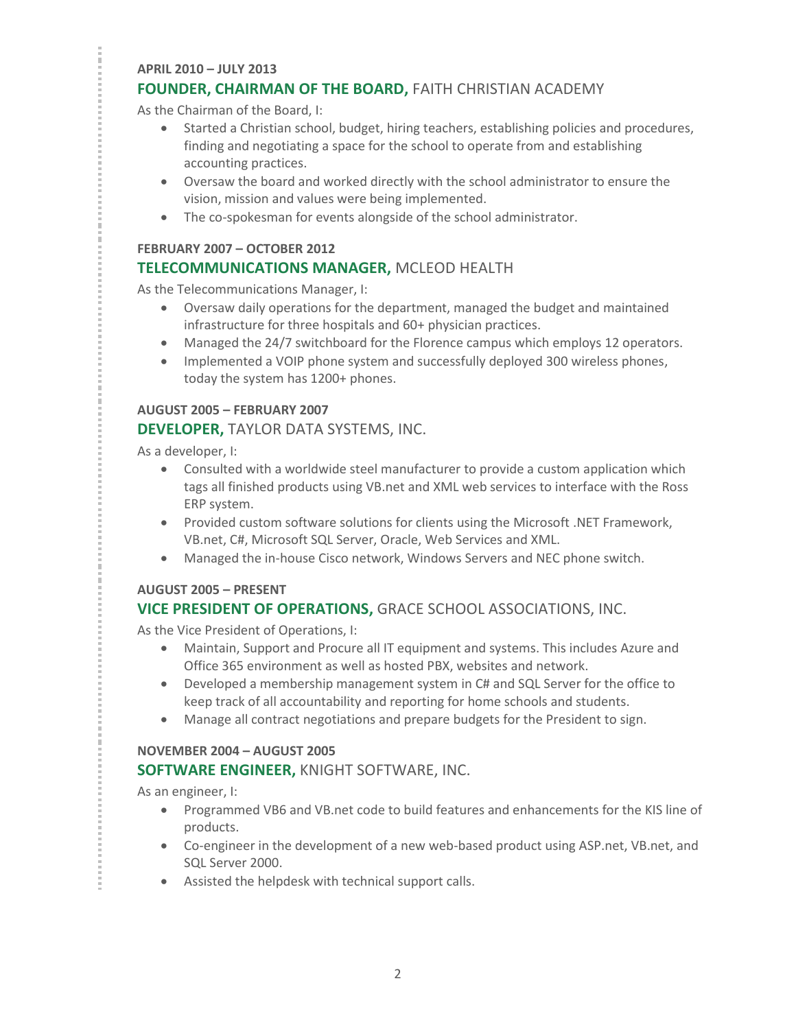#### **APRIL 2010 – JULY 2013 FOUNDER, CHAIRMAN OF THE BOARD, FAITH CHRISTIAN ACADEMY**

As the Chairman of the Board, I:

- Started a Christian school, budget, hiring teachers, establishing policies and procedures, finding and negotiating a space for the school to operate from and establishing accounting practices.
- Oversaw the board and worked directly with the school administrator to ensure the vision, mission and values were being implemented.
- The co-spokesman for events alongside of the school administrator.

#### **FEBRUARY 2007 – OCTOBER 2012**

## **TELECOMMUNICATIONS MANAGER,** MCLEOD HEALTH

As the Telecommunications Manager, I:

- Oversaw daily operations for the department, managed the budget and maintained infrastructure for three hospitals and 60+ physician practices.
- Managed the 24/7 switchboard for the Florence campus which employs 12 operators.
- Implemented a VOIP phone system and successfully deployed 300 wireless phones, today the system has 1200+ phones.

#### **AUGUST 2005 – FEBRUARY 2007**

#### **DEVELOPER,** TAYLOR DATA SYSTEMS, INC.

As a developer, I:

- Consulted with a worldwide steel manufacturer to provide a custom application which tags all finished products using VB.net and XML web services to interface with the Ross ERP system.
- Provided custom software solutions for clients using the Microsoft .NET Framework, VB.net, C#, Microsoft SQL Server, Oracle, Web Services and XML.
- Managed the in-house Cisco network, Windows Servers and NEC phone switch.

#### **AUGUST 2005 – PRESENT**

## **VICE PRESIDENT OF OPERATIONS,** GRACE SCHOOL ASSOCIATIONS, INC.

As the Vice President of Operations, I:

- Maintain, Support and Procure all IT equipment and systems. This includes Azure and Office 365 environment as well as hosted PBX, websites and network.
- Developed a membership management system in C# and SQL Server for the office to keep track of all accountability and reporting for home schools and students.
- Manage all contract negotiations and prepare budgets for the President to sign.

#### **NOVEMBER 2004 – AUGUST 2005**

#### **SOFTWARE ENGINEER,** KNIGHT SOFTWARE, INC.

As an engineer, I:

- Programmed VB6 and VB.net code to build features and enhancements for the KIS line of products.
- Co-engineer in the development of a new web-based product using ASP.net, VB.net, and SQL Server 2000.
- Assisted the helpdesk with technical support calls.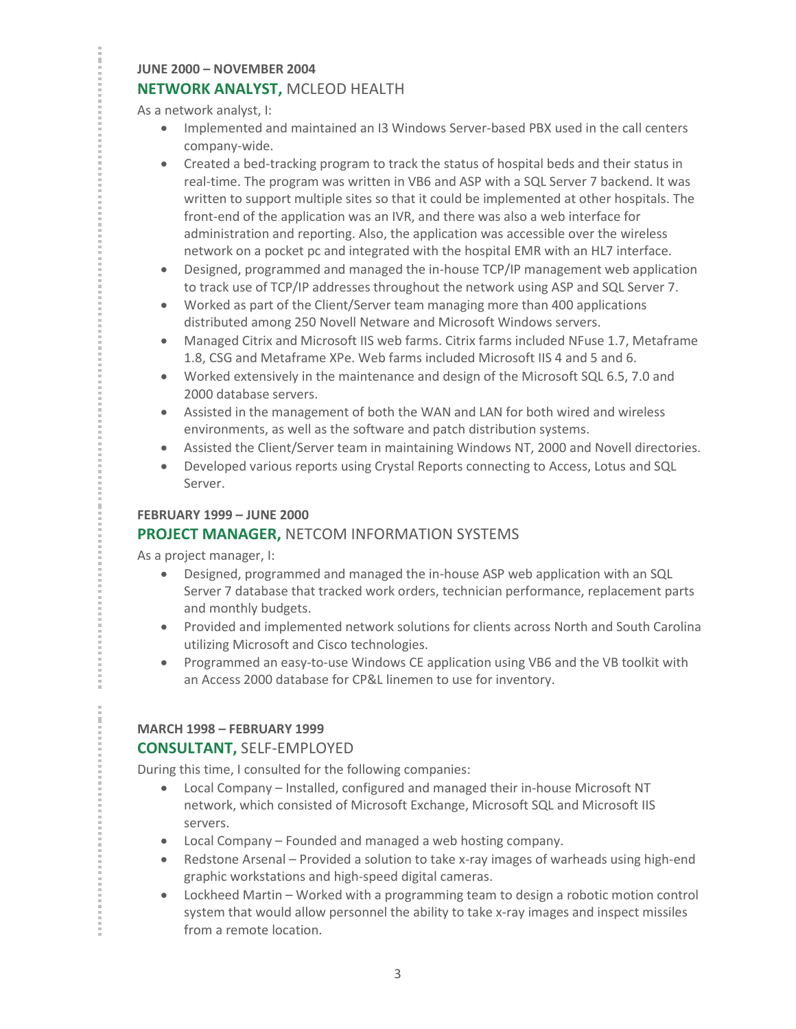#### **JUNE 2000 – NOVEMBER 2004 NETWORK ANALYST,** MCLEOD HEALTH

As a network analyst, I:

- Implemented and maintained an I3 Windows Server-based PBX used in the call centers company-wide.
- Created a bed-tracking program to track the status of hospital beds and their status in real-time. The program was written in VB6 and ASP with a SQL Server 7 backend. It was written to support multiple sites so that it could be implemented at other hospitals. The front-end of the application was an IVR, and there was also a web interface for administration and reporting. Also, the application was accessible over the wireless network on a pocket pc and integrated with the hospital EMR with an HL7 interface.
- Designed, programmed and managed the in-house TCP/IP management web application to track use of TCP/IP addresses throughout the network using ASP and SQL Server 7.
- Worked as part of the Client/Server team managing more than 400 applications distributed among 250 Novell Netware and Microsoft Windows servers.
- Managed Citrix and Microsoft IIS web farms. Citrix farms included NFuse 1.7, Metaframe 1.8, CSG and Metaframe XPe. Web farms included Microsoft IIS 4 and 5 and 6.
- Worked extensively in the maintenance and design of the Microsoft SQL 6.5, 7.0 and 2000 database servers.
- Assisted in the management of both the WAN and LAN for both wired and wireless environments, as well as the software and patch distribution systems.
- Assisted the Client/Server team in maintaining Windows NT, 2000 and Novell directories.
- Developed various reports using Crystal Reports connecting to Access, Lotus and SQL Server.

#### **FEBRUARY 1999 – JUNE 2000**

## **PROJECT MANAGER,** NETCOM INFORMATION SYSTEMS

As a project manager, I:

- Designed, programmed and managed the in-house ASP web application with an SQL Server 7 database that tracked work orders, technician performance, replacement parts and monthly budgets.
- Provided and implemented network solutions for clients across North and South Carolina utilizing Microsoft and Cisco technologies.
- Programmed an easy-to-use Windows CE application using VB6 and the VB toolkit with an Access 2000 database for CP&L linemen to use for inventory.

## **MARCH 1998 – FEBRUARY 1999**

## **CONSULTANT,** SELF-EMPLOYED

During this time, I consulted for the following companies:

- Local Company Installed, configured and managed their in-house Microsoft NT network, which consisted of Microsoft Exchange, Microsoft SQL and Microsoft IIS servers.
- Local Company Founded and managed a web hosting company.
- Redstone Arsenal Provided a solution to take x-ray images of warheads using high-end graphic workstations and high-speed digital cameras.
- Lockheed Martin Worked with a programming team to design a robotic motion control system that would allow personnel the ability to take x-ray images and inspect missiles from a remote location.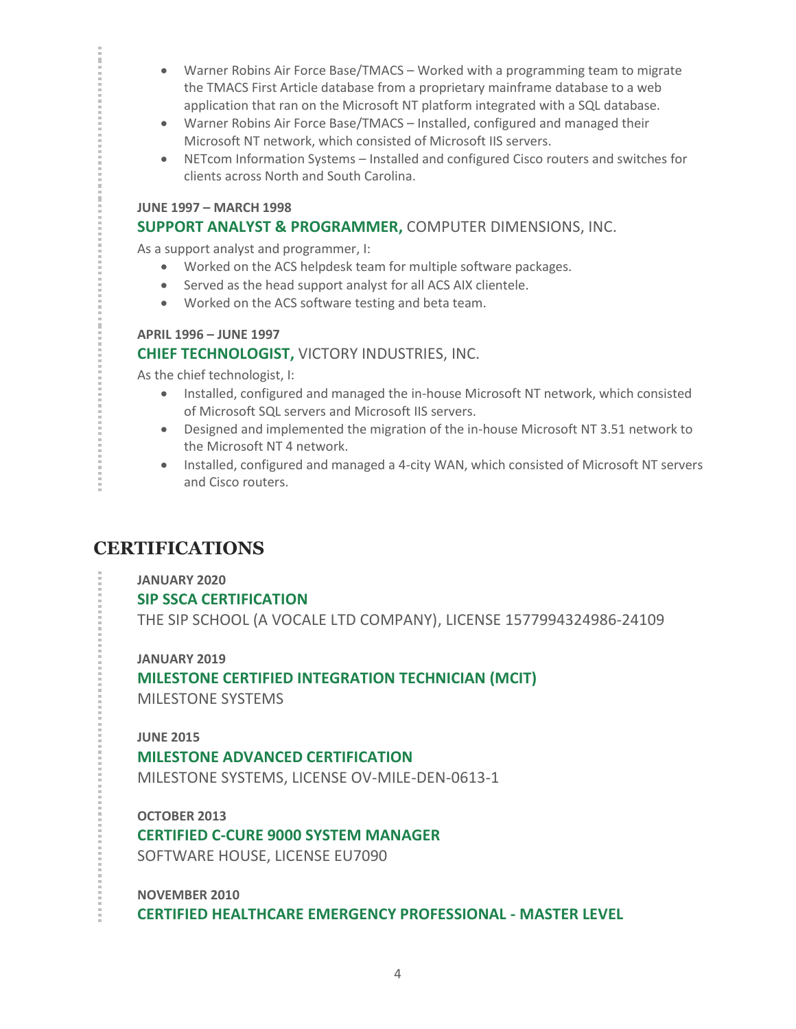- Warner Robins Air Force Base/TMACS Worked with a programming team to migrate the TMACS First Article database from a proprietary mainframe database to a web application that ran on the Microsoft NT platform integrated with a SQL database.
- Warner Robins Air Force Base/TMACS Installed, configured and managed their Microsoft NT network, which consisted of Microsoft IIS servers.
- NETcom Information Systems Installed and configured Cisco routers and switches for clients across North and South Carolina.

#### **JUNE 1997 – MARCH 1998**

#### **SUPPORT ANALYST & PROGRAMMER,** COMPUTER DIMENSIONS, INC.

As a support analyst and programmer, I:

- Worked on the ACS helpdesk team for multiple software packages.
- Served as the head support analyst for all ACS AIX clientele.
- Worked on the ACS software testing and beta team.

#### **APRIL 1996 – JUNE 1997**

#### **CHIEF TECHNOLOGIST,** VICTORY INDUSTRIES, INC.

As the chief technologist, I:

- Installed, configured and managed the in-house Microsoft NT network, which consisted of Microsoft SQL servers and Microsoft IIS servers.
- Designed and implemented the migration of the in-house Microsoft NT 3.51 network to the Microsoft NT 4 network.
- Installed, configured and managed a 4-city WAN, which consisted of Microsoft NT servers and Cisco routers.

# **CERTIFICATIONS**

**JANUARY 2020**

**SIP SSCA CERTIFICATION**

THE SIP SCHOOL (A VOCALE LTD COMPANY), LICENSE 1577994324986-24109

**JANUARY 2019 MILESTONE CERTIFIED INTEGRATION TECHNICIAN (MCIT)** MILESTONE SYSTEMS

#### **JUNE 2015**

#### **MILESTONE ADVANCED CERTIFICATION**

MILESTONE SYSTEMS, LICENSE OV-MILE-DEN-0613-1

**OCTOBER 2013 CERTIFIED C-CURE 9000 SYSTEM MANAGER** SOFTWARE HOUSE, LICENSE EU7090

**NOVEMBER 2010 CERTIFIED HEALTHCARE EMERGENCY PROFESSIONAL - MASTER LEVEL**